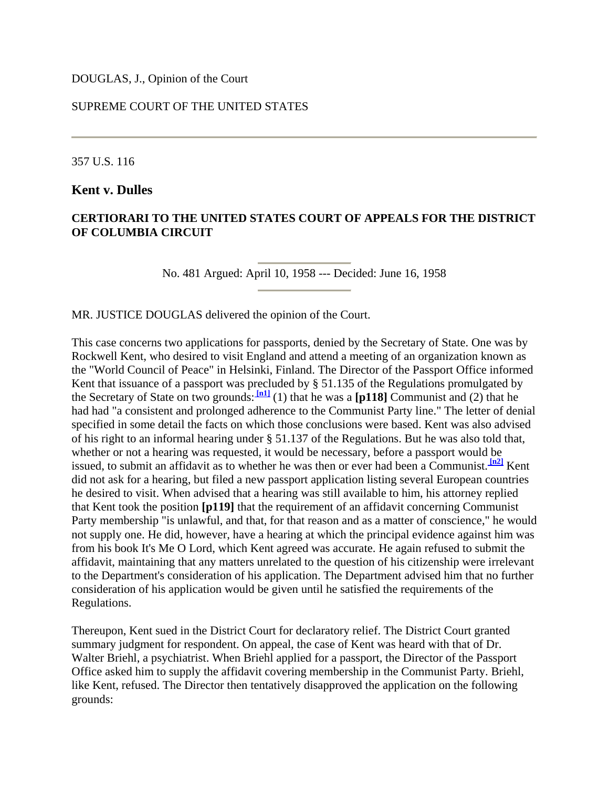#### DOUGLAS, J., Opinion of the Court

## SUPREME COURT OF THE UNITED STATES

### 357 U.S. 116

### **Kent v. Dulles**

# **CERTIORARI TO THE UNITED STATES COURT OF APPEALS FOR THE DISTRICT OF COLUMBIA CIRCUIT**

No. 481 Argued: April 10, 1958 --- Decided: June 16, 1958

MR. JUSTICE DOUGLAS delivered the opinion of the Court.

This case concerns two applications for passports, denied by the Secretary of State. One was by Rockwell Kent, who desired to visit England and attend a meeting of an organization known as the "World Council of Peace" in Helsinki, Finland. The Director of the Passport Office informed Kent that issuance of a passport was precluded by § 51.135 of the Regulations promulgated by the Secretary of State on two grounds: **[n1]** (1) that he was a **[p118]** Communist and (2) that he had had "a consistent and prolonged adherence to the Communist Party line." The letter of denial specified in some detail the facts on which those conclusions were based. Kent was also advised of his right to an informal hearing under § 51.137 of the Regulations. But he was also told that, whether or not a hearing was requested, it would be necessary, before a passport would be issued, to submit an affidavit as to whether he was then or ever had been a Communist. <sup>[n2]</sup> Kent did not ask for a hearing, but filed a new passport application listing several European countries he desired to visit. When advised that a hearing was still available to him, his attorney replied that Kent took the position **[p119]** that the requirement of an affidavit concerning Communist Party membership "is unlawful, and that, for that reason and as a matter of conscience," he would not supply one. He did, however, have a hearing at which the principal evidence against him was from his book It's Me O Lord, which Kent agreed was accurate. He again refused to submit the affidavit, maintaining that any matters unrelated to the question of his citizenship were irrelevant to the Department's consideration of his application. The Department advised him that no further consideration of his application would be given until he satisfied the requirements of the Regulations.

Thereupon, Kent sued in the District Court for declaratory relief. The District Court granted summary judgment for respondent. On appeal, the case of Kent was heard with that of Dr. Walter Briehl, a psychiatrist. When Briehl applied for a passport, the Director of the Passport Office asked him to supply the affidavit covering membership in the Communist Party. Briehl, like Kent, refused. The Director then tentatively disapproved the application on the following grounds: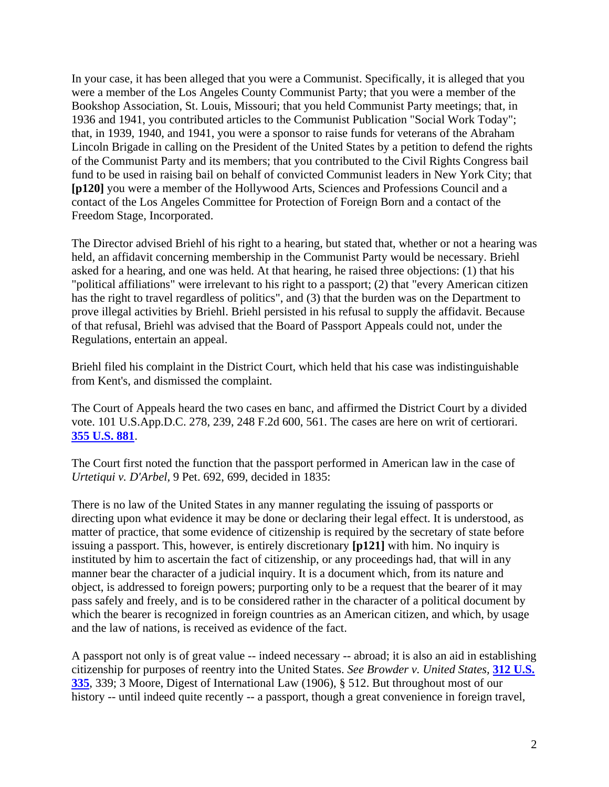In your case, it has been alleged that you were a Communist. Specifically, it is alleged that you were a member of the Los Angeles County Communist Party; that you were a member of the Bookshop Association, St. Louis, Missouri; that you held Communist Party meetings; that, in 1936 and 1941, you contributed articles to the Communist Publication "Social Work Today"; that, in 1939, 1940, and 1941, you were a sponsor to raise funds for veterans of the Abraham Lincoln Brigade in calling on the President of the United States by a petition to defend the rights of the Communist Party and its members; that you contributed to the Civil Rights Congress bail fund to be used in raising bail on behalf of convicted Communist leaders in New York City; that **[p120]** you were a member of the Hollywood Arts, Sciences and Professions Council and a contact of the Los Angeles Committee for Protection of Foreign Born and a contact of the Freedom Stage, Incorporated.

The Director advised Briehl of his right to a hearing, but stated that, whether or not a hearing was held, an affidavit concerning membership in the Communist Party would be necessary. Briehl asked for a hearing, and one was held. At that hearing, he raised three objections: (1) that his "political affiliations" were irrelevant to his right to a passport; (2) that "every American citizen has the right to travel regardless of politics", and (3) that the burden was on the Department to prove illegal activities by Briehl. Briehl persisted in his refusal to supply the affidavit. Because of that refusal, Briehl was advised that the Board of Passport Appeals could not, under the Regulations, entertain an appeal.

Briehl filed his complaint in the District Court, which held that his case was indistinguishable from Kent's, and dismissed the complaint.

The Court of Appeals heard the two cases en banc, and affirmed the District Court by a divided vote. 101 U.S.App.D.C. 278, 239, 248 F.2d 600, 561. The cases are here on writ of certiorari. **355 U.S. 881**.

The Court first noted the function that the passport performed in American law in the case of *Urtetiqui v. D'Arbel,* 9 Pet. 692, 699, decided in 1835:

There is no law of the United States in any manner regulating the issuing of passports or directing upon what evidence it may be done or declaring their legal effect. It is understood, as matter of practice, that some evidence of citizenship is required by the secretary of state before issuing a passport. This, however, is entirely discretionary **[p121]** with him. No inquiry is instituted by him to ascertain the fact of citizenship, or any proceedings had, that will in any manner bear the character of a judicial inquiry. It is a document which, from its nature and object, is addressed to foreign powers; purporting only to be a request that the bearer of it may pass safely and freely, and is to be considered rather in the character of a political document by which the bearer is recognized in foreign countries as an American citizen, and which, by usage and the law of nations, is received as evidence of the fact.

A passport not only is of great value -- indeed necessary -- abroad; it is also an aid in establishing citizenship for purposes of reentry into the United States. *See Browder v. United States,* **312 U.S. 335**, 339; 3 Moore, Digest of International Law (1906), § 512. But throughout most of our history -- until indeed quite recently -- a passport, though a great convenience in foreign travel,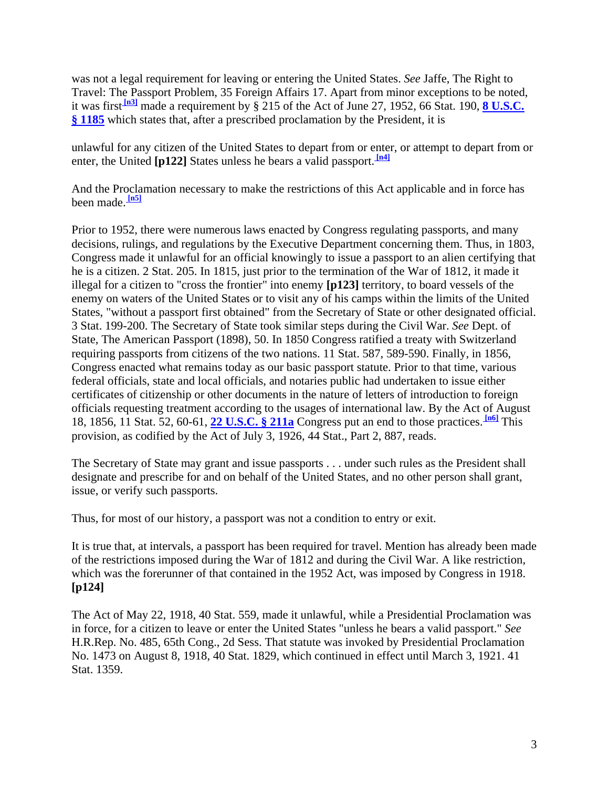was not a legal requirement for leaving or entering the United States. *See* Jaffe, The Right to Travel: The Passport Problem, 35 Foreign Affairs 17. Apart from minor exceptions to be noted, it was first **[n3]** made a requirement by § 215 of the Act of June 27, 1952, 66 Stat. 190, **8 U.S.C. § 1185** which states that, after a prescribed proclamation by the President, it is

unlawful for any citizen of the United States to depart from or enter, or attempt to depart from or enter, the United **[p122]** States unless he bears a valid passport. <sup>[n4]</sup>

And the Proclamation necessary to make the restrictions of this Act applicable and in force has been made. **[n5]**

Prior to 1952, there were numerous laws enacted by Congress regulating passports, and many decisions, rulings, and regulations by the Executive Department concerning them. Thus, in 1803, Congress made it unlawful for an official knowingly to issue a passport to an alien certifying that he is a citizen. 2 Stat. 205. In 1815, just prior to the termination of the War of 1812, it made it illegal for a citizen to "cross the frontier" into enemy **[p123]** territory, to board vessels of the enemy on waters of the United States or to visit any of his camps within the limits of the United States, "without a passport first obtained" from the Secretary of State or other designated official. 3 Stat. 199-200. The Secretary of State took similar steps during the Civil War. *See* Dept. of State, The American Passport (1898), 50. In 1850 Congress ratified a treaty with Switzerland requiring passports from citizens of the two nations. 11 Stat. 587, 589-590. Finally, in 1856, Congress enacted what remains today as our basic passport statute. Prior to that time, various federal officials, state and local officials, and notaries public had undertaken to issue either certificates of citizenship or other documents in the nature of letters of introduction to foreign officials requesting treatment according to the usages of international law. By the Act of August 18, 1856, 11 Stat. 52, 60-61, **22 U.S.C. § 211a** Congress put an end to those practices. **[n6]** This provision, as codified by the Act of July 3, 1926, 44 Stat., Part 2, 887, reads.

The Secretary of State may grant and issue passports . . . under such rules as the President shall designate and prescribe for and on behalf of the United States, and no other person shall grant, issue, or verify such passports.

Thus, for most of our history, a passport was not a condition to entry or exit.

It is true that, at intervals, a passport has been required for travel. Mention has already been made of the restrictions imposed during the War of 1812 and during the Civil War. A like restriction, which was the forerunner of that contained in the 1952 Act, was imposed by Congress in 1918. **[p124]**

The Act of May 22, 1918, 40 Stat. 559, made it unlawful, while a Presidential Proclamation was in force, for a citizen to leave or enter the United States "unless he bears a valid passport." *See* H.R.Rep. No. 485, 65th Cong., 2d Sess. That statute was invoked by Presidential Proclamation No. 1473 on August 8, 1918, 40 Stat. 1829, which continued in effect until March 3, 1921. 41 Stat. 1359.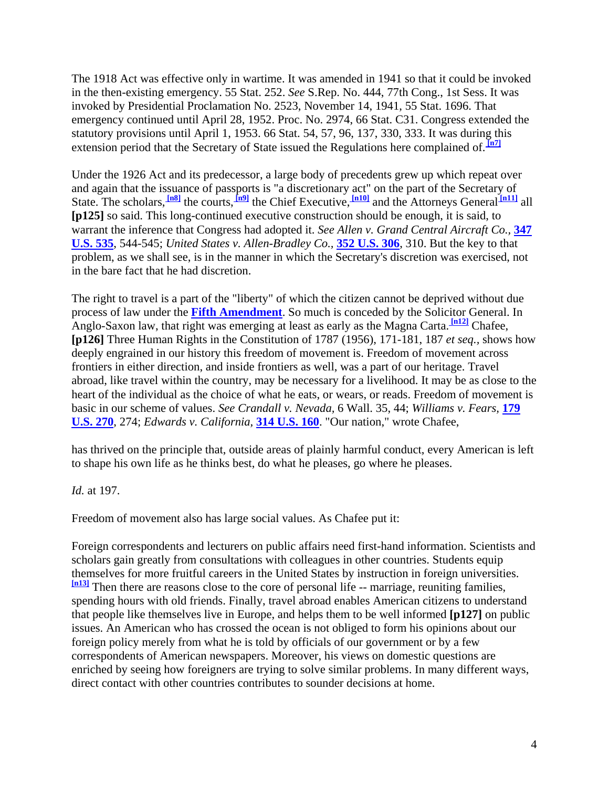The 1918 Act was effective only in wartime. It was amended in 1941 so that it could be invoked in the then-existing emergency. 55 Stat. 252. *See* S.Rep. No. 444, 77th Cong., 1st Sess. It was invoked by Presidential Proclamation No. 2523, November 14, 1941, 55 Stat. 1696. That emergency continued until April 28, 1952. Proc. No. 2974, 66 Stat. C31. Congress extended the statutory provisions until April 1, 1953. 66 Stat. 54, 57, 96, 137, 330, 333. It was during this extension period that the Secretary of State issued the Regulations here complained of.<sup>In7]</sup>

Under the 1926 Act and its predecessor, a large body of precedents grew up which repeat over and again that the issuance of passports is "a discretionary act" on the part of the Secretary of State. The scholars, **[n8]** the courts, **[n9]** the Chief Executive, **[n10]** and the Attorneys General **[n11]** all **[p125]** so said. This long-continued executive construction should be enough, it is said, to warrant the inference that Congress had adopted it. *See Allen v. Grand Central Aircraft Co.,* **347 U.S. 535**, 544-545; *United States v. Allen-Bradley Co.,* **352 U.S. 306**, 310. But the key to that problem, as we shall see, is in the manner in which the Secretary's discretion was exercised, not in the bare fact that he had discretion.

The right to travel is a part of the "liberty" of which the citizen cannot be deprived without due process of law under the **Fifth Amendment**. So much is conceded by the Solicitor General. In Anglo-Saxon law, that right was emerging at least as early as the Magna Carta. <sup>[n12]</sup> Chafee, **[p126]** Three Human Rights in the Constitution of 1787 (1956), 171-181, 187 *et seq.,* shows how deeply engrained in our history this freedom of movement is. Freedom of movement across frontiers in either direction, and inside frontiers as well, was a part of our heritage. Travel abroad, like travel within the country, may be necessary for a livelihood. It may be as close to the heart of the individual as the choice of what he eats, or wears, or reads. Freedom of movement is basic in our scheme of values. *See Crandall v. Nevada,* 6 Wall. 35, 44; *Williams v. Fears,* **179 U.S. 270**, 274; *Edwards v. California,* **314 U.S. 160**. "Our nation," wrote Chafee,

has thrived on the principle that, outside areas of plainly harmful conduct, every American is left to shape his own life as he thinks best, do what he pleases, go where he pleases.

# *Id.* at 197.

Freedom of movement also has large social values. As Chafee put it:

Foreign correspondents and lecturers on public affairs need first-hand information. Scientists and scholars gain greatly from consultations with colleagues in other countries. Students equip themselves for more fruitful careers in the United States by instruction in foreign universities. **[n13]** Then there are reasons close to the core of personal life -- marriage, reuniting families, spending hours with old friends. Finally, travel abroad enables American citizens to understand that people like themselves live in Europe, and helps them to be well informed **[p127]** on public issues. An American who has crossed the ocean is not obliged to form his opinions about our foreign policy merely from what he is told by officials of our government or by a few correspondents of American newspapers. Moreover, his views on domestic questions are enriched by seeing how foreigners are trying to solve similar problems. In many different ways, direct contact with other countries contributes to sounder decisions at home.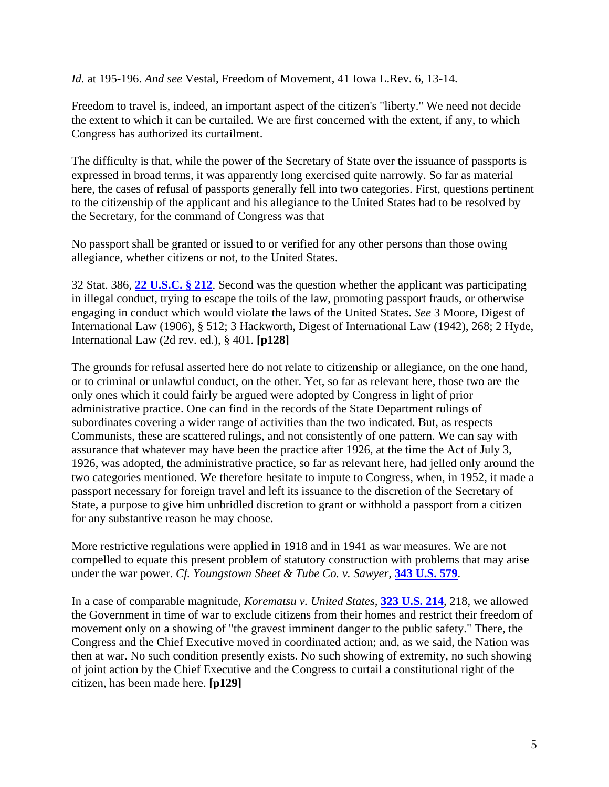*Id.* at 195-196. *And see* Vestal, Freedom of Movement, 41 Iowa L.Rev. 6, 13-14.

Freedom to travel is, indeed, an important aspect of the citizen's "liberty." We need not decide the extent to which it can be curtailed. We are first concerned with the extent, if any, to which Congress has authorized its curtailment.

The difficulty is that, while the power of the Secretary of State over the issuance of passports is expressed in broad terms, it was apparently long exercised quite narrowly. So far as material here, the cases of refusal of passports generally fell into two categories. First, questions pertinent to the citizenship of the applicant and his allegiance to the United States had to be resolved by the Secretary, for the command of Congress was that

No passport shall be granted or issued to or verified for any other persons than those owing allegiance, whether citizens or not, to the United States.

32 Stat. 386, **22 U.S.C. § 212**. Second was the question whether the applicant was participating in illegal conduct, trying to escape the toils of the law, promoting passport frauds, or otherwise engaging in conduct which would violate the laws of the United States. *See* 3 Moore, Digest of International Law (1906), § 512; 3 Hackworth, Digest of International Law (1942), 268; 2 Hyde, International Law (2d rev. ed.), § 401. **[p128]**

The grounds for refusal asserted here do not relate to citizenship or allegiance, on the one hand, or to criminal or unlawful conduct, on the other. Yet, so far as relevant here, those two are the only ones which it could fairly be argued were adopted by Congress in light of prior administrative practice. One can find in the records of the State Department rulings of subordinates covering a wider range of activities than the two indicated. But, as respects Communists, these are scattered rulings, and not consistently of one pattern. We can say with assurance that whatever may have been the practice after 1926, at the time the Act of July 3, 1926, was adopted, the administrative practice, so far as relevant here, had jelled only around the two categories mentioned. We therefore hesitate to impute to Congress, when, in 1952, it made a passport necessary for foreign travel and left its issuance to the discretion of the Secretary of State, a purpose to give him unbridled discretion to grant or withhold a passport from a citizen for any substantive reason he may choose.

More restrictive regulations were applied in 1918 and in 1941 as war measures. We are not compelled to equate this present problem of statutory construction with problems that may arise under the war power. *Cf. Youngstown Sheet & Tube Co. v. Sawyer,* **343 U.S. 579**.

In a case of comparable magnitude, *Korematsu v. United States,* **323 U.S. 214**, 218, we allowed the Government in time of war to exclude citizens from their homes and restrict their freedom of movement only on a showing of "the gravest imminent danger to the public safety." There, the Congress and the Chief Executive moved in coordinated action; and, as we said, the Nation was then at war. No such condition presently exists. No such showing of extremity, no such showing of joint action by the Chief Executive and the Congress to curtail a constitutional right of the citizen, has been made here. **[p129]**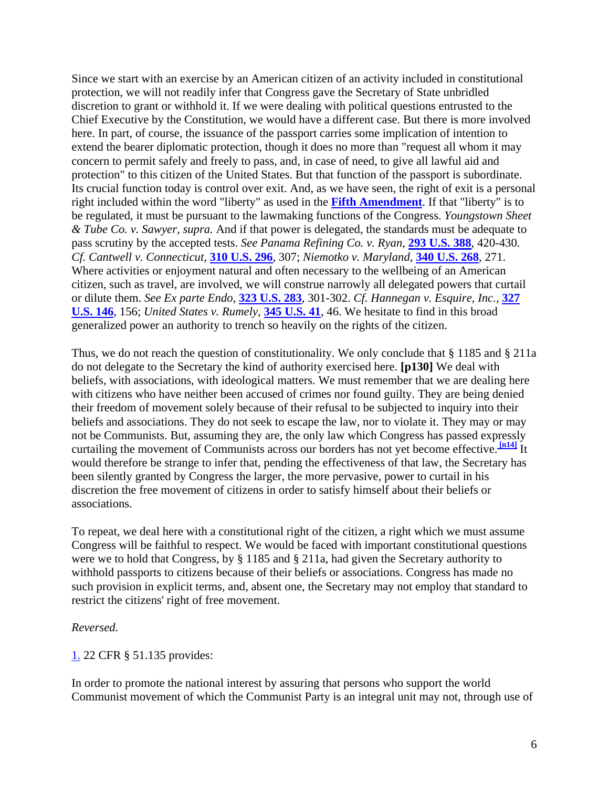Since we start with an exercise by an American citizen of an activity included in constitutional protection, we will not readily infer that Congress gave the Secretary of State unbridled discretion to grant or withhold it. If we were dealing with political questions entrusted to the Chief Executive by the Constitution, we would have a different case. But there is more involved here. In part, of course, the issuance of the passport carries some implication of intention to extend the bearer diplomatic protection, though it does no more than "request all whom it may concern to permit safely and freely to pass, and, in case of need, to give all lawful aid and protection" to this citizen of the United States. But that function of the passport is subordinate. Its crucial function today is control over exit. And, as we have seen, the right of exit is a personal right included within the word "liberty" as used in the **Fifth Amendment**. If that "liberty" is to be regulated, it must be pursuant to the lawmaking functions of the Congress. *Youngstown Sheet & Tube Co. v. Sawyer, supra.* And if that power is delegated, the standards must be adequate to pass scrutiny by the accepted tests. *See Panama Refining Co. v. Ryan,* **293 U.S. 388**, 420-430. *Cf. Cantwell v. Connecticut,* **310 U.S. 296**, 307; *Niemotko v. Maryland,* **340 U.S. 268**, 271. Where activities or enjoyment natural and often necessary to the wellbeing of an American citizen, such as travel, are involved, we will construe narrowly all delegated powers that curtail or dilute them. *See Ex parte Endo,* **323 U.S. 283**, 301-302. *Cf. Hannegan v. Esquire, Inc.,* **327 U.S. 146**, 156; *United States v. Rumely,* **345 U.S. 41**, 46. We hesitate to find in this broad generalized power an authority to trench so heavily on the rights of the citizen.

Thus, we do not reach the question of constitutionality. We only conclude that § 1185 and § 211a do not delegate to the Secretary the kind of authority exercised here. **[p130]** We deal with beliefs, with associations, with ideological matters. We must remember that we are dealing here with citizens who have neither been accused of crimes nor found guilty. They are being denied their freedom of movement solely because of their refusal to be subjected to inquiry into their beliefs and associations. They do not seek to escape the law, nor to violate it. They may or may not be Communists. But, assuming they are, the only law which Congress has passed expressly curtailing the movement of Communists across our borders has not yet become effective. <sup>[n14]</sup> It would therefore be strange to infer that, pending the effectiveness of that law, the Secretary has been silently granted by Congress the larger, the more pervasive, power to curtail in his discretion the free movement of citizens in order to satisfy himself about their beliefs or associations.

To repeat, we deal here with a constitutional right of the citizen, a right which we must assume Congress will be faithful to respect. We would be faced with important constitutional questions were we to hold that Congress, by § 1185 and § 211a, had given the Secretary authority to withhold passports to citizens because of their beliefs or associations. Congress has made no such provision in explicit terms, and, absent one, the Secretary may not employ that standard to restrict the citizens' right of free movement.

## *Reversed.*

1. 22 CFR § 51.135 provides:

In order to promote the national interest by assuring that persons who support the world Communist movement of which the Communist Party is an integral unit may not, through use of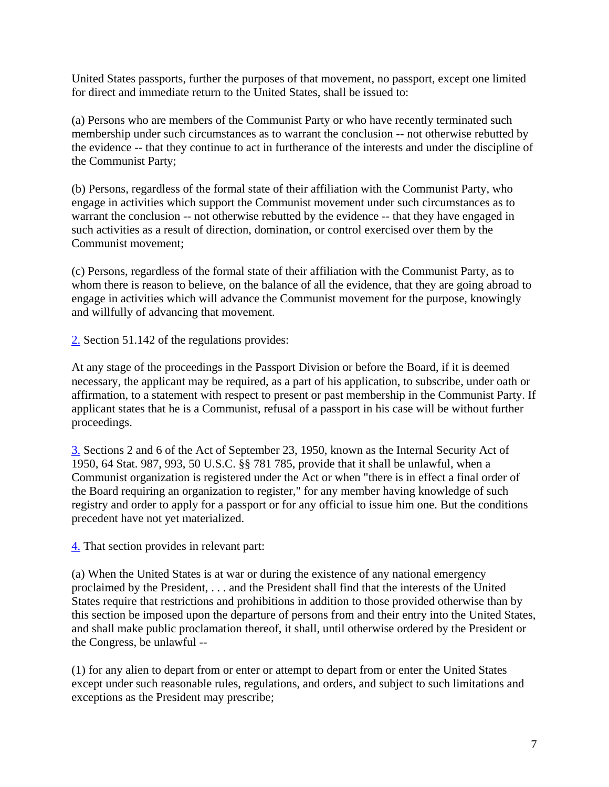United States passports, further the purposes of that movement, no passport, except one limited for direct and immediate return to the United States, shall be issued to:

(a) Persons who are members of the Communist Party or who have recently terminated such membership under such circumstances as to warrant the conclusion -- not otherwise rebutted by the evidence -- that they continue to act in furtherance of the interests and under the discipline of the Communist Party;

(b) Persons, regardless of the formal state of their affiliation with the Communist Party, who engage in activities which support the Communist movement under such circumstances as to warrant the conclusion -- not otherwise rebutted by the evidence -- that they have engaged in such activities as a result of direction, domination, or control exercised over them by the Communist movement;

(c) Persons, regardless of the formal state of their affiliation with the Communist Party, as to whom there is reason to believe, on the balance of all the evidence, that they are going abroad to engage in activities which will advance the Communist movement for the purpose, knowingly and willfully of advancing that movement.

2. Section 51.142 of the regulations provides:

At any stage of the proceedings in the Passport Division or before the Board, if it is deemed necessary, the applicant may be required, as a part of his application, to subscribe, under oath or affirmation, to a statement with respect to present or past membership in the Communist Party. If applicant states that he is a Communist, refusal of a passport in his case will be without further proceedings.

3. Sections 2 and 6 of the Act of September 23, 1950, known as the Internal Security Act of 1950, 64 Stat. 987, 993, 50 U.S.C. §§ 781 785, provide that it shall be unlawful, when a Communist organization is registered under the Act or when "there is in effect a final order of the Board requiring an organization to register," for any member having knowledge of such registry and order to apply for a passport or for any official to issue him one. But the conditions precedent have not yet materialized.

4. That section provides in relevant part:

(a) When the United States is at war or during the existence of any national emergency proclaimed by the President, . . . and the President shall find that the interests of the United States require that restrictions and prohibitions in addition to those provided otherwise than by this section be imposed upon the departure of persons from and their entry into the United States, and shall make public proclamation thereof, it shall, until otherwise ordered by the President or the Congress, be unlawful --

(1) for any alien to depart from or enter or attempt to depart from or enter the United States except under such reasonable rules, regulations, and orders, and subject to such limitations and exceptions as the President may prescribe;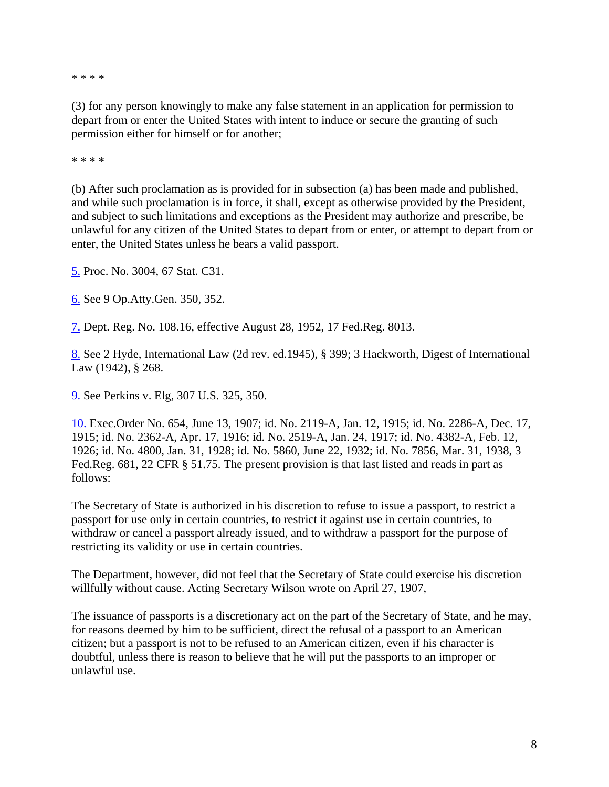\* \* \* \*

(3) for any person knowingly to make any false statement in an application for permission to depart from or enter the United States with intent to induce or secure the granting of such permission either for himself or for another;

\* \* \* \*

(b) After such proclamation as is provided for in subsection (a) has been made and published, and while such proclamation is in force, it shall, except as otherwise provided by the President, and subject to such limitations and exceptions as the President may authorize and prescribe, be unlawful for any citizen of the United States to depart from or enter, or attempt to depart from or enter, the United States unless he bears a valid passport.

5. Proc. No. 3004, 67 Stat. C31.

6. See 9 Op.Atty.Gen. 350, 352.

7. Dept. Reg. No. 108.16, effective August 28, 1952, 17 Fed.Reg. 8013.

8. See 2 Hyde, International Law (2d rev. ed.1945), § 399; 3 Hackworth, Digest of International Law (1942), § 268.

9. See Perkins v. Elg, 307 U.S. 325, 350.

10. Exec.Order No. 654, June 13, 1907; id. No. 2119-A, Jan. 12, 1915; id. No. 2286-A, Dec. 17, 1915; id. No. 2362-A, Apr. 17, 1916; id. No. 2519-A, Jan. 24, 1917; id. No. 4382-A, Feb. 12, 1926; id. No. 4800, Jan. 31, 1928; id. No. 5860, June 22, 1932; id. No. 7856, Mar. 31, 1938, 3 Fed.Reg. 681, 22 CFR § 51.75. The present provision is that last listed and reads in part as follows:

The Secretary of State is authorized in his discretion to refuse to issue a passport, to restrict a passport for use only in certain countries, to restrict it against use in certain countries, to withdraw or cancel a passport already issued, and to withdraw a passport for the purpose of restricting its validity or use in certain countries.

The Department, however, did not feel that the Secretary of State could exercise his discretion willfully without cause. Acting Secretary Wilson wrote on April 27, 1907,

The issuance of passports is a discretionary act on the part of the Secretary of State, and he may, for reasons deemed by him to be sufficient, direct the refusal of a passport to an American citizen; but a passport is not to be refused to an American citizen, even if his character is doubtful, unless there is reason to believe that he will put the passports to an improper or unlawful use.